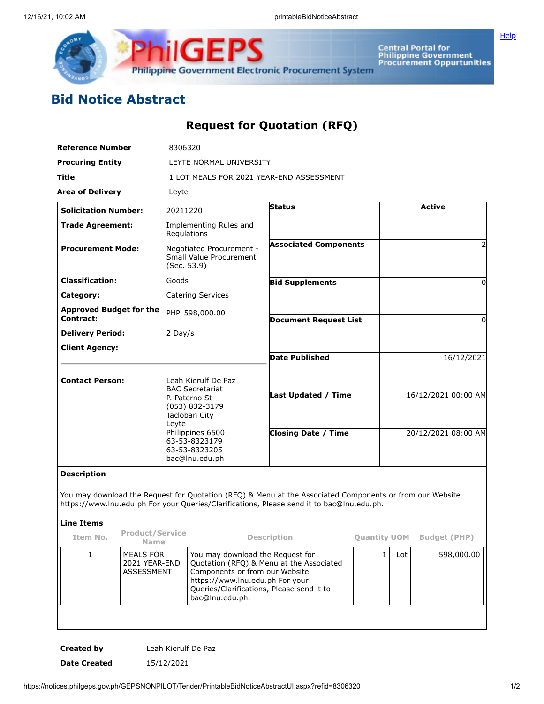

Central Portal for<br>Philippine Government<br>Procurement Oppurtunities

## **Bid Notice Abstract**

## **Request for Quotation (RFQ)**

| <b>Reference Number</b>                     | 8306320                                                                                                                                                     |                                                                                                          |                     |  |  |  |  |
|---------------------------------------------|-------------------------------------------------------------------------------------------------------------------------------------------------------------|----------------------------------------------------------------------------------------------------------|---------------------|--|--|--|--|
| <b>Procuring Entity</b>                     | LEYTE NORMAL UNIVERSITY                                                                                                                                     |                                                                                                          |                     |  |  |  |  |
| Title                                       | 1 LOT MEALS FOR 2021 YEAR-END ASSESSMENT                                                                                                                    |                                                                                                          |                     |  |  |  |  |
| <b>Area of Delivery</b>                     | Leyte                                                                                                                                                       |                                                                                                          |                     |  |  |  |  |
| <b>Solicitation Number:</b>                 | 20211220                                                                                                                                                    | <b>Status</b>                                                                                            | <b>Active</b>       |  |  |  |  |
| <b>Trade Agreement:</b>                     | Implementing Rules and<br>Regulations                                                                                                                       |                                                                                                          |                     |  |  |  |  |
| <b>Procurement Mode:</b>                    | Negotiated Procurement -<br>Small Value Procurement<br>(Sec. 53.9)                                                                                          | <b>Associated Components</b>                                                                             |                     |  |  |  |  |
| <b>Classification:</b>                      | Goods                                                                                                                                                       | <b>Bid Supplements</b>                                                                                   |                     |  |  |  |  |
| Category:                                   | <b>Catering Services</b>                                                                                                                                    |                                                                                                          |                     |  |  |  |  |
| <b>Approved Budget for the</b><br>Contract: | PHP 598,000.00                                                                                                                                              | <b>Document Request List</b>                                                                             |                     |  |  |  |  |
| <b>Delivery Period:</b>                     | 2 Day/s                                                                                                                                                     |                                                                                                          |                     |  |  |  |  |
| <b>Client Agency:</b>                       |                                                                                                                                                             |                                                                                                          |                     |  |  |  |  |
|                                             |                                                                                                                                                             | <b>Date Published</b>                                                                                    | 16/12/2021          |  |  |  |  |
| <b>Contact Person:</b>                      | Leah Kierulf De Paz                                                                                                                                         |                                                                                                          |                     |  |  |  |  |
|                                             | <b>BAC Secretariat</b><br>P. Paterno St<br>(053) 832-3179<br>Tacloban City<br>Leyte<br>Philippines 6500<br>63-53-8323179<br>63-53-8323205<br>bac@lnu.edu.ph | <b>Last Updated / Time</b>                                                                               | 16/12/2021 00:00 AM |  |  |  |  |
|                                             |                                                                                                                                                             | <b>Closing Date / Time</b>                                                                               | 20/12/2021 08:00 AM |  |  |  |  |
| <b>Description</b>                          |                                                                                                                                                             | You may download the Request for Quotation (RFQ) & Menu at the Associated Components or from our Website |                     |  |  |  |  |
|                                             |                                                                                                                                                             | https://www.lnu.edu.ph For your Queries/Clarifications, Please send it to bac@lnu.edu.ph.                |                     |  |  |  |  |

## **Line Items**

| Item No. | <b>Product/Service</b><br><b>Name</b>                  | <b>Description</b>                                                                                                                                                                                                | <b>Quantity UOM</b> |     | <b>Budget (PHP)</b> |
|----------|--------------------------------------------------------|-------------------------------------------------------------------------------------------------------------------------------------------------------------------------------------------------------------------|---------------------|-----|---------------------|
|          | <b>MEALS FOR</b><br>2021 YEAR-END<br><b>ASSESSMENT</b> | You may download the Request for<br>Quotation (RFQ) & Menu at the Associated<br>Components or from our Website<br>https://www.lnu.edu.ph For your<br>Queries/Clarifications, Please send it to<br>bac@lnu.edu.ph. |                     | Lot | 598,000.00          |
|          |                                                        |                                                                                                                                                                                                                   |                     |     |                     |

**Created by** Leah Kierulf De Paz **Date Created** 15/12/2021